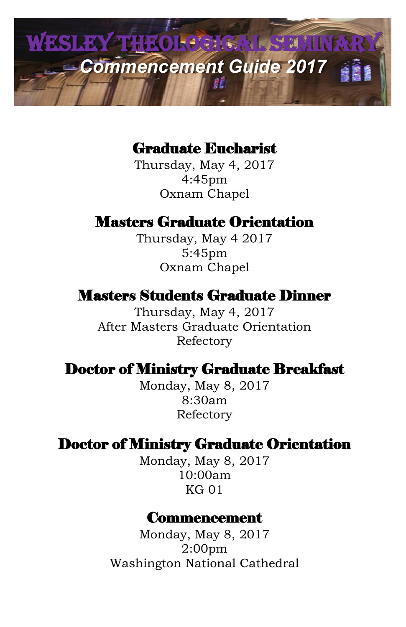

### Graduate Eucharist

Thursday, May 4, 2017 4:45pm Oxnam Chapel

### Masters Graduate Orientation

Thursday, May 4 2017 5:45pm Oxnam Chapel

#### Masters Students Graduate Dinner

Thursday, May 4, 2017 After Masters Graduate Orientation Refectory

#### Doctor of Ministry Graduate Breakfast

Monday, May 8, 2017 8:30am Refectory

### Doctor of Ministry Graduate Orientation

Monday, May 8, 2017 10:00am KG 01

#### Commencement

Monday, May 8, 2017 2:00pm Washington National Cathedral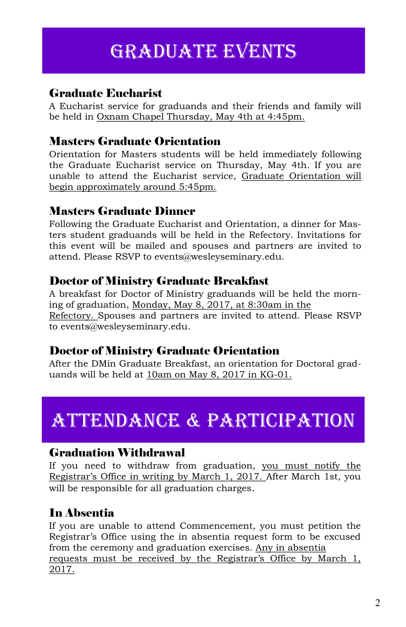## GRADUATE EVENTS

#### Graduate Eucharist

A Eucharist service for graduands and their friends and family will be held in Oxnam Chapel Thursday, May 4th at 4:45pm.

#### Masters Graduate Orientation

Orientation for Masters students will be held immediately following the Graduate Eucharist service on Thursday, May 4th. If you are unable to attend the Eucharist service, Graduate Orientation will begin approximately around 5:45pm.

#### Masters Graduate Dinner

Following the Graduate Eucharist and Orientation, a dinner for Masters student graduands will be held in the Refectory. Invitations for this event will be mailed and spouses and partners are invited to attend. Please RSVP to events@wesleyseminary.edu.

#### Doctor of Ministry Graduate Breakfast

A breakfast for Doctor of Ministry graduands will be held the morning of graduation, Monday, May 8, 2017, at 8:30am in the Refectory. Spouses and partners are invited to attend. Please RSVP to events@wesleyseminary.edu.

#### Doctor of Ministry Graduate Orientation

After the DMin Graduate Breakfast, an orientation for Doctoral graduands will be held at 10am on May 8, 2017 in KG-01.

# Attendance & participation

#### Graduation Withdrawal

If you need to withdraw from graduation, you must notify the Registrar's Office in writing by March 1, 2017. After March 1st, you will be responsible for all graduation charges.

#### In Absentia

If you are unable to attend Commencement, you must petition the Registrar's Office using the in absentia request form to be excused from the ceremony and graduation exercises. Any in absentia requests must be received by the Registrar's Office by March 1, 2017.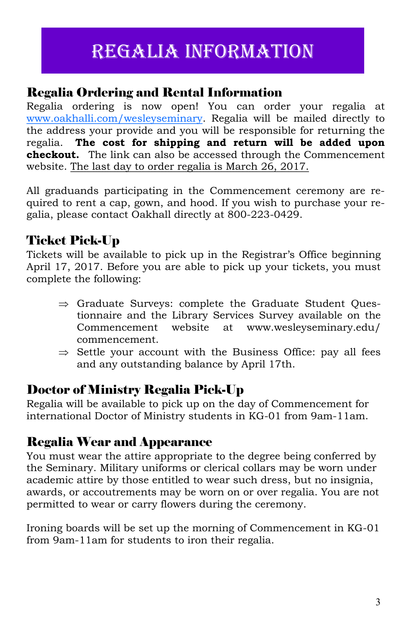## regalia information

#### Regalia Ordering and Rental Information

Regalia ordering is now open! You can order your regalia at [www.oakhalli.com/wesleyseminary.](mailto:www.oakhalli.com/wesleyseminary) Regalia will be mailed directly to the address your provide and you will be responsible for returning the regalia. **The cost for shipping and return will be added upon checkout.** The link can also be accessed through the Commencement website. The last day to order regalia is March 26, 2017.

All graduands participating in the Commencement ceremony are required to rent a cap, gown, and hood. If you wish to purchase your regalia, please contact Oakhall directly at 800-223-0429.

### Ticket Pick-Up

Tickets will be available to pick up in the Registrar's Office beginning April 17, 2017. Before you are able to pick up your tickets, you must complete the following:

- $\Rightarrow$  Graduate Surveys: complete the Graduate Student Ouestionnaire and the Library Services Survey available on the Commencement website at www.wesleyseminary.edu/ commencement.
- $\Rightarrow$  Settle your account with the Business Office: pay all fees and any outstanding balance by April 17th.

### Doctor of Ministry Regalia Pick-Up

Regalia will be available to pick up on the day of Commencement for international Doctor of Ministry students in KG-01 from 9am-11am.

### Regalia Wear and Appearance

You must wear the attire appropriate to the degree being conferred by the Seminary. Military uniforms or clerical collars may be worn under academic attire by those entitled to wear such dress, but no insignia, awards, or accoutrements may be worn on or over regalia. You are not permitted to wear or carry flowers during the ceremony.

Ironing boards will be set up the morning of Commencement in KG-01 from 9am-11am for students to iron their regalia.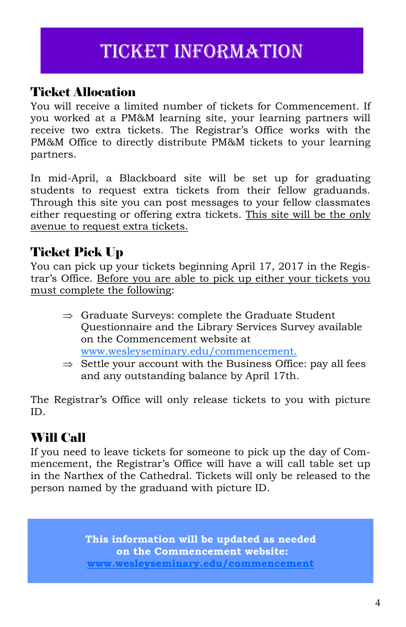## Ticket information

### Ticket Allocation

You will receive a limited number of tickets for Commencement. If you worked at a PM&M learning site, your learning partners will receive two extra tickets. The Registrar's Office works with the PM&M Office to directly distribute PM&M tickets to your learning partners.

In mid-April, a Blackboard site will be set up for graduating students to request extra tickets from their fellow graduands. Through this site you can post messages to your fellow classmates either requesting or offering extra tickets. This site will be the only avenue to request extra tickets.

### Ticket Pick Up

You can pick up your tickets beginning April 17, 2017 in the Registrar's Office. Before you are able to pick up either your tickets you must complete the following:

- $\Rightarrow$  Graduate Surveys: complete the Graduate Student Questionnaire and the Library Services Survey available on the Commencement website at [www.wesleyseminary.edu/commencement.](mailto:www.wesleysemianry.edu/commencement)
- $\Rightarrow$  Settle your account with the Business Office: pay all fees and any outstanding balance by April 17th.

The Registrar's Office will only release tickets to you with picture ID.

### Will Call

If you need to leave tickets for someone to pick up the day of Commencement, the Registrar's Office will have a will call table set up in the Narthex of the Cathedral. Tickets will only be released to the person named by the graduand with picture ID.

> **This information will be updated as needed on the Commencement website: [www.wesleyseminary.edu/commencement](mailto:www.wesleyseminary.edu/commencement)**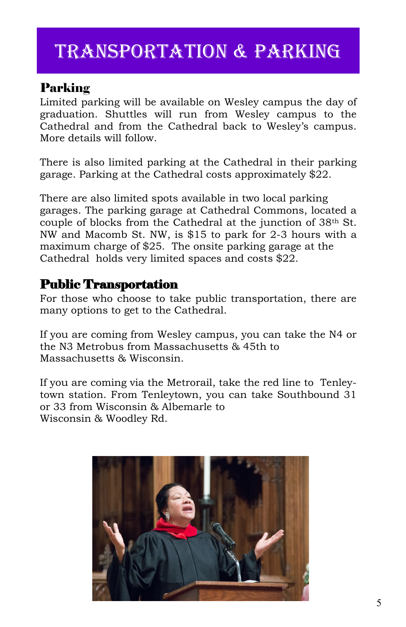## Transportation & parking

#### Parking

Limited parking will be available on Wesley campus the day of graduation. Shuttles will run from Wesley campus to the Cathedral and from the Cathedral back to Wesley's campus. More details will follow.

There is also limited parking at the Cathedral in their parking garage. Parking at the Cathedral costs approximately \$22.

There are also limited spots available in two local parking garages. The parking garage at Cathedral Commons, located a couple of blocks from the Cathedral at the junction of 38th St. NW and Macomb St. NW, is \$15 to park for 2-3 hours with a maximum charge of \$25. The onsite parking garage at the Cathedral holds very limited spaces and costs \$22.

#### Public Transportation

For those who choose to take public transportation, there are many options to get to the Cathedral.

If you are coming from Wesley campus, you can take the N4 or the N3 Metrobus from Massachusetts & 45th to Massachusetts & Wisconsin.

If you are coming via the Metrorail, take the red line to Tenleytown station. From Tenleytown, you can take Southbound 31 or 33 from Wisconsin & Albemarle to Wisconsin & Woodley Rd.

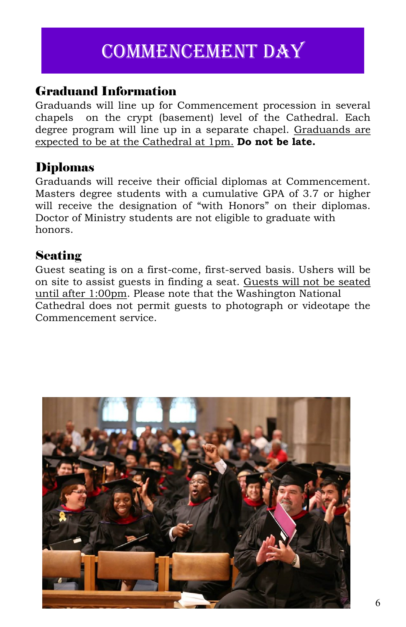## Commencement day

#### Graduand Information

Graduands will line up for Commencement procession in several chapels on the crypt (basement) level of the Cathedral. Each degree program will line up in a separate chapel. Graduands are expected to be at the Cathedral at 1pm. **Do not be late.**

#### Diplomas

Graduands will receive their official diplomas at Commencement. Masters degree students with a cumulative GPA of 3.7 or higher will receive the designation of "with Honors" on their diplomas. Doctor of Ministry students are not eligible to graduate with honors.

#### **Seating**

Guest seating is on a first-come, first-served basis. Ushers will be on site to assist guests in finding a seat. Guests will not be seated until after 1:00pm. Please note that the Washington National Cathedral does not permit guests to photograph or videotape the Commencement service.

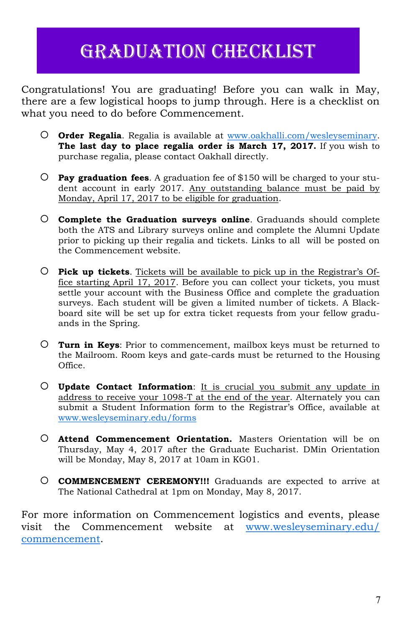## Graduation Checklist

Congratulations! You are graduating! Before you can walk in May, there are a few logistical hoops to jump through. Here is a checklist on what you need to do before Commencement.

- **Order Regalia**. Regalia is available at [www.oakhalli.com/wesleyseminary.](http://www.oakhalli.com/wesleyseminary)  **The last day to place regalia order is March 17, 2017.** If you wish to purchase regalia, please contact Oakhall directly.
- **Pay graduation fees**. A graduation fee of \$150 will be charged to your student account in early 2017. Any outstanding balance must be paid by Monday, April 17, 2017 to be eligible for graduation.
- **Complete the Graduation surveys online**. Graduands should complete both the ATS and Library surveys online and complete the Alumni Update prior to picking up their regalia and tickets. Links to all will be posted on the Commencement website.
- **Pick up tickets**. Tickets will be available to pick up in the Registrar's Office starting April 17, 2017. Before you can collect your tickets, you must settle your account with the Business Office and complete the graduation surveys. Each student will be given a limited number of tickets. A Blackboard site will be set up for extra ticket requests from your fellow graduands in the Spring.
- **Turn in Keys**: Prior to commencement, mailbox keys must be returned to the Mailroom. Room keys and gate-cards must be returned to the Housing Office.
- **Update Contact Information**: It is crucial you submit any update in address to receive your 1098-T at the end of the year. Alternately you can submit a Student Information form to the Registrar's Office, available at [www.wesleyseminary.edu/forms](mailto:www.wesleyseminary.edu/forms)
- **Attend Commencement Orientation.** Masters Orientation will be on Thursday, May 4, 2017 after the Graduate Eucharist. DMin Orientation will be Monday, May 8, 2017 at 10am in KG01.
- **COMMENCEMENT CEREMONY!!!** Graduands are expected to arrive at The National Cathedral at 1pm on Monday, May 8, 2017.

For more information on Commencement logistics and events, please visit the Commencement website at [www.wesleyseminary.edu/](http://www.wesleyseminary.edu/commencement) [commencement.](http://www.wesleyseminary.edu/commencement)